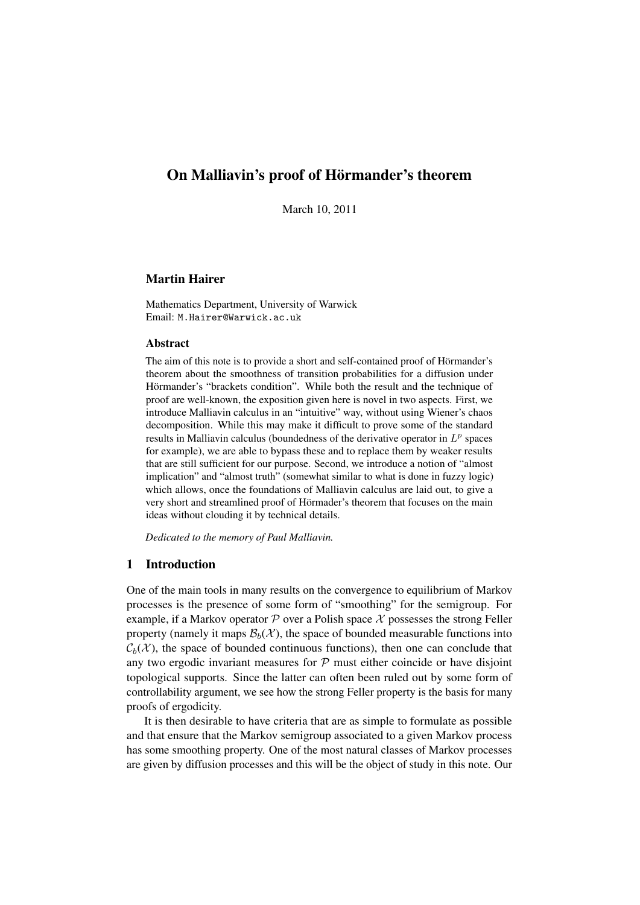# On Malliavin's proof of Hörmander's theorem

March 10, 2011

## Martin Hairer

Mathematics Department, University of Warwick Email: M.Hairer@Warwick.ac.uk

#### Abstract

The aim of this note is to provide a short and self-contained proof of Hörmander's theorem about the smoothness of transition probabilities for a diffusion under Hörmander's "brackets condition". While both the result and the technique of proof are well-known, the exposition given here is novel in two aspects. First, we introduce Malliavin calculus in an "intuitive" way, without using Wiener's chaos decomposition. While this may make it difficult to prove some of the standard results in Malliavin calculus (boundedness of the derivative operator in  $L^p$  spaces for example), we are able to bypass these and to replace them by weaker results that are still sufficient for our purpose. Second, we introduce a notion of "almost implication" and "almost truth" (somewhat similar to what is done in fuzzy logic) which allows, once the foundations of Malliavin calculus are laid out, to give a very short and streamlined proof of Hörmader's theorem that focuses on the main ideas without clouding it by technical details.

*Dedicated to the memory of Paul Malliavin.*

## 1 Introduction

One of the main tools in many results on the convergence to equilibrium of Markov processes is the presence of some form of "smoothing" for the semigroup. For example, if a Markov operator  $P$  over a Polish space  $\mathcal X$  possesses the strong Feller property (namely it maps  $\mathcal{B}_b(\mathcal{X})$ , the space of bounded measurable functions into  $C_b(\mathcal{X})$ , the space of bounded continuous functions), then one can conclude that any two ergodic invariant measures for  $P$  must either coincide or have disjoint topological supports. Since the latter can often been ruled out by some form of controllability argument, we see how the strong Feller property is the basis for many proofs of ergodicity.

It is then desirable to have criteria that are as simple to formulate as possible and that ensure that the Markov semigroup associated to a given Markov process has some smoothing property. One of the most natural classes of Markov processes are given by diffusion processes and this will be the object of study in this note. Our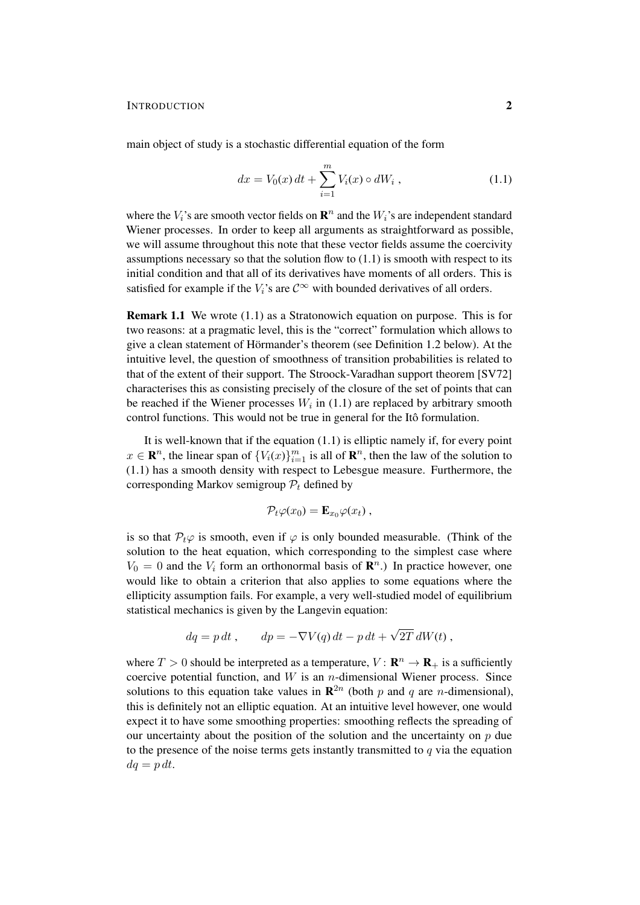#### INTRODUCTION 2

main object of study is a stochastic differential equation of the form

$$
dx = V_0(x) dt + \sum_{i=1}^{m} V_i(x) \circ dW_i , \qquad (1.1)
$$

where the  $V_i$ 's are smooth vector fields on  $\mathbb{R}^n$  and the  $W_i$ 's are independent standard Wiener processes. In order to keep all arguments as straightforward as possible, we will assume throughout this note that these vector fields assume the coercivity assumptions necessary so that the solution flow to  $(1.1)$  is smooth with respect to its initial condition and that all of its derivatives have moments of all orders. This is satisfied for example if the  $V_i$ 's are  $C^{\infty}$  with bounded derivatives of all orders.

Remark 1.1 We wrote (1.1) as a Stratonowich equation on purpose. This is for two reasons: at a pragmatic level, this is the "correct" formulation which allows to give a clean statement of Hörmander's theorem (see Definition 1.2 below). At the intuitive level, the question of smoothness of transition probabilities is related to that of the extent of their support. The Stroock-Varadhan support theorem [SV72] characterises this as consisting precisely of the closure of the set of points that can be reached if the Wiener processes  $W_i$  in (1.1) are replaced by arbitrary smooth control functions. This would not be true in general for the Itô formulation.

It is well-known that if the equation (1.1) is elliptic namely if, for every point  $x \in \mathbb{R}^n$ , the linear span of  $\{V_i(x)\}_{i=1}^m$  is all of  $\mathbb{R}^n$ , then the law of the solution to (1.1) has a smooth density with respect to Lebesgue measure. Furthermore, the corresponding Markov semigroup  $P_t$  defined by

$$
\mathcal{P}_t\varphi(x_0)=\mathbf{E}_{x_0}\varphi(x_t)\;,
$$

is so that  $\mathcal{P}_t\varphi$  is smooth, even if  $\varphi$  is only bounded measurable. (Think of the solution to the heat equation, which corresponding to the simplest case where  $V_0 = 0$  and the  $V_i$  form an orthonormal basis of  $\mathbb{R}^n$ .) In practice however, one would like to obtain a criterion that also applies to some equations where the ellipticity assumption fails. For example, a very well-studied model of equilibrium statistical mechanics is given by the Langevin equation:

$$
dq = p dt, \qquad dp = -\nabla V(q) dt - p dt + \sqrt{2T} dW(t),
$$

where  $T > 0$  should be interpreted as a temperature,  $V : \mathbf{R}^n \to \mathbf{R}_+$  is a sufficiently coercive potential function, and  $W$  is an *n*-dimensional Wiener process. Since solutions to this equation take values in  $\mathbb{R}^{2n}$  (both p and q are n-dimensional), this is definitely not an elliptic equation. At an intuitive level however, one would expect it to have some smoothing properties: smoothing reflects the spreading of our uncertainty about the position of the solution and the uncertainty on  $p$  due to the presence of the noise terms gets instantly transmitted to  $q$  via the equation  $dq = p dt$ .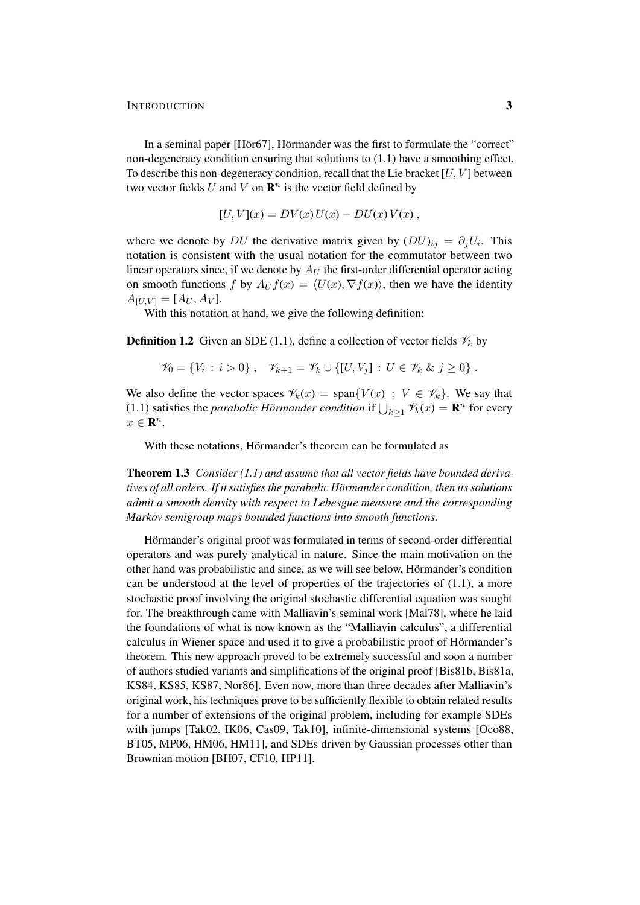In a seminal paper [Hör67], Hörmander was the first to formulate the "correct" non-degeneracy condition ensuring that solutions to (1.1) have a smoothing effect. To describe this non-degeneracy condition, recall that the Lie bracket  $[U, V]$  between two vector fields U and V on  $\mathbb{R}^n$  is the vector field defined by

$$
[U, V](x) = DV(x) U(x) - DU(x) V(x) ,
$$

where we denote by DU the derivative matrix given by  $(DU)_{ij} = \partial_j U_i$ . This notation is consistent with the usual notation for the commutator between two linear operators since, if we denote by  $A_U$  the first-order differential operator acting on smooth functions f by  $A_U f(x) = \langle U(x), \nabla f(x) \rangle$ , then we have the identity  $A_{[U,V]} = [A_U, A_V].$ 

With this notation at hand, we give the following definition:

**Definition 1.2** Given an SDE (1.1), define a collection of vector fields  $\mathcal{V}_k$  by

$$
\mathscr{V}_0 = \{ V_i : i > 0 \}, \quad \mathscr{V}_{k+1} = \mathscr{V}_k \cup \{ [U, V_j] : U \in \mathscr{V}_k \& j \ge 0 \}.
$$

We also define the vector spaces  $\mathcal{V}_k(x) = \text{span}\{V(x) : V \in \mathcal{V}_k\}$ . We say that (1.1) satisfies the *parabolic Hörmander condition* if  $\bigcup_{k\geq 1} \mathcal{V}_k(x) = \mathbf{R}^n$  for every  $x \in \mathbf{R}^n$ .

With these notations, Hörmander's theorem can be formulated as

Theorem 1.3 *Consider (1.1) and assume that all vector fields have bounded derivatives of all orders. If it satisfies the parabolic Hörmander condition, then its solutions admit a smooth density with respect to Lebesgue measure and the corresponding Markov semigroup maps bounded functions into smooth functions.*

Hörmander's original proof was formulated in terms of second-order differential operators and was purely analytical in nature. Since the main motivation on the other hand was probabilistic and since, as we will see below, Hörmander's condition can be understood at the level of properties of the trajectories of (1.1), a more stochastic proof involving the original stochastic differential equation was sought for. The breakthrough came with Malliavin's seminal work [Mal78], where he laid the foundations of what is now known as the "Malliavin calculus", a differential calculus in Wiener space and used it to give a probabilistic proof of Hörmander's theorem. This new approach proved to be extremely successful and soon a number of authors studied variants and simplifications of the original proof [Bis81b, Bis81a, KS84, KS85, KS87, Nor86]. Even now, more than three decades after Malliavin's original work, his techniques prove to be sufficiently flexible to obtain related results for a number of extensions of the original problem, including for example SDEs with jumps [Tak02, IK06, Cas09, Tak10], infinite-dimensional systems [Oco88, BT05, MP06, HM06, HM11], and SDEs driven by Gaussian processes other than Brownian motion [BH07, CF10, HP11].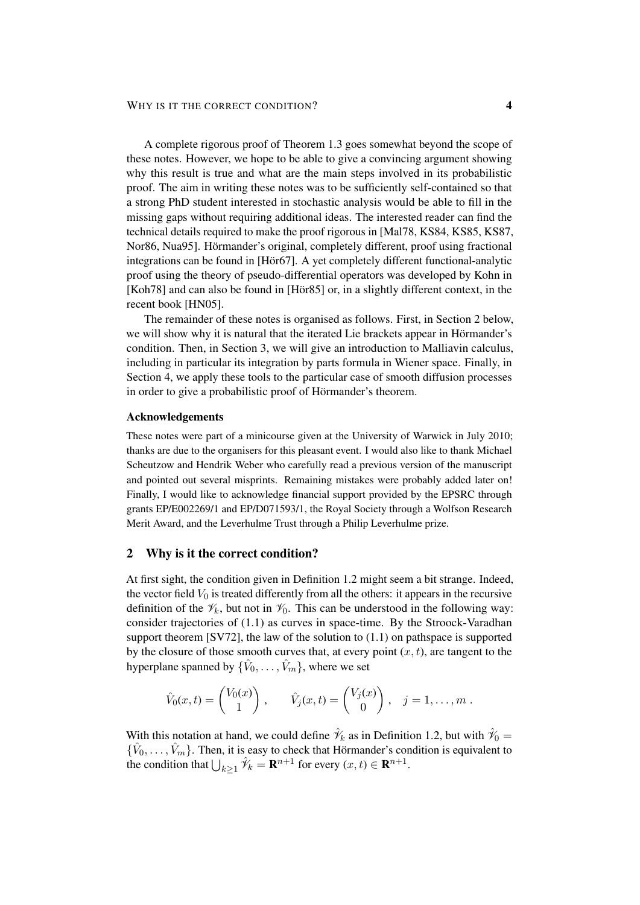A complete rigorous proof of Theorem 1.3 goes somewhat beyond the scope of these notes. However, we hope to be able to give a convincing argument showing why this result is true and what are the main steps involved in its probabilistic proof. The aim in writing these notes was to be sufficiently self-contained so that a strong PhD student interested in stochastic analysis would be able to fill in the missing gaps without requiring additional ideas. The interested reader can find the technical details required to make the proof rigorous in [Mal78, KS84, KS85, KS87, Nor86, Nua95]. Hörmander's original, completely different, proof using fractional integrations can be found in [Hör67]. A yet completely different functional-analytic proof using the theory of pseudo-differential operators was developed by Kohn in  $[Koh78]$  and can also be found in  $[Hör85]$  or, in a slightly different context, in the recent book [HN05].

The remainder of these notes is organised as follows. First, in Section 2 below, we will show why it is natural that the iterated Lie brackets appear in Hörmander's condition. Then, in Section 3, we will give an introduction to Malliavin calculus, including in particular its integration by parts formula in Wiener space. Finally, in Section 4, we apply these tools to the particular case of smooth diffusion processes in order to give a probabilistic proof of Hörmander's theorem.

### Acknowledgements

These notes were part of a minicourse given at the University of Warwick in July 2010; thanks are due to the organisers for this pleasant event. I would also like to thank Michael Scheutzow and Hendrik Weber who carefully read a previous version of the manuscript and pointed out several misprints. Remaining mistakes were probably added later on! Finally, I would like to acknowledge financial support provided by the EPSRC through grants EP/E002269/1 and EP/D071593/1, the Royal Society through a Wolfson Research Merit Award, and the Leverhulme Trust through a Philip Leverhulme prize.

#### 2 Why is it the correct condition?

At first sight, the condition given in Definition 1.2 might seem a bit strange. Indeed, the vector field  $V_0$  is treated differently from all the others: it appears in the recursive definition of the  $\mathcal{V}_k$ , but not in  $\mathcal{V}_0$ . This can be understood in the following way: consider trajectories of (1.1) as curves in space-time. By the Stroock-Varadhan support theorem [SV72], the law of the solution to (1.1) on pathspace is supported by the closure of those smooth curves that, at every point  $(x, t)$ , are tangent to the hyperplane spanned by  $\{\hat{V}_0, \ldots, \hat{V}_m\}$ , where we set

$$
\hat{V}_0(x,t) = \begin{pmatrix} V_0(x) \\ 1 \end{pmatrix}, \qquad \hat{V}_j(x,t) = \begin{pmatrix} V_j(x) \\ 0 \end{pmatrix}, \quad j = 1,\ldots,m.
$$

With this notation at hand, we could define  $\hat{\mathcal{V}}_k$  as in Definition 1.2, but with  $\hat{\mathcal{V}}_0$  =  $\{\hat{V}_0, \ldots, \hat{V}_m\}$ . Then, it is easy to check that Hörmander's condition is equivalent to the condition that  $\bigcup_{k\geq 1} \hat{\mathcal{V}}_k = \mathbf{R}^{n+1}$  for every  $(x, t) \in \mathbf{R}^{n+1}$ .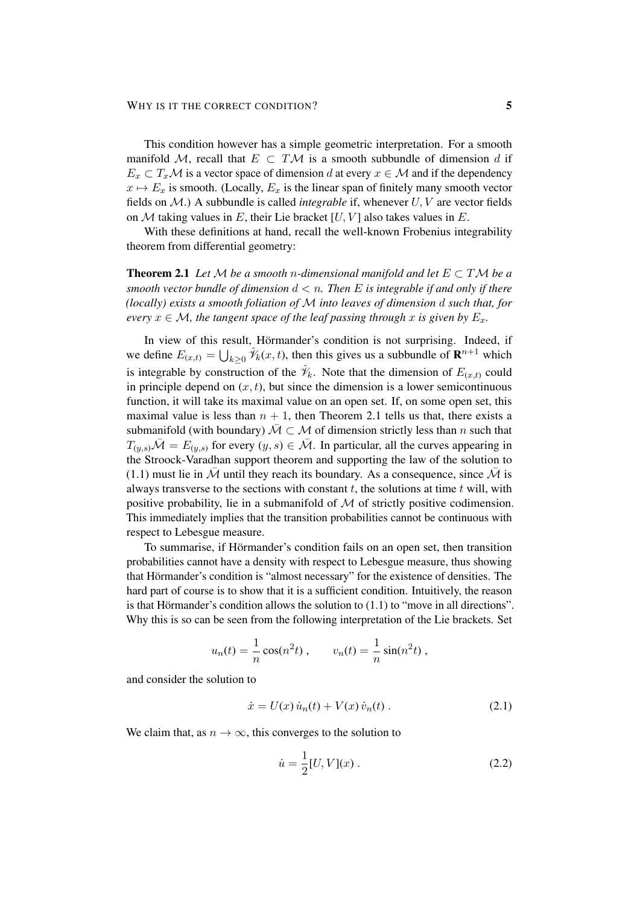#### WHY IS IT THE CORRECT CONDITION? 5

This condition however has a simple geometric interpretation. For a smooth manifold M, recall that  $E \subset T\mathcal{M}$  is a smooth subbundle of dimension d if  $E_x \subset T_x\mathcal{M}$  is a vector space of dimension d at every  $x \in \mathcal{M}$  and if the dependency  $x \mapsto E_x$  is smooth. (Locally,  $E_x$  is the linear span of finitely many smooth vector fields on M.) A subbundle is called *integrable* if, whenever U, V are vector fields on M taking values in E, their Lie bracket  $[U, V]$  also takes values in E.

With these definitions at hand, recall the well-known Frobenius integrability theorem from differential geometry:

**Theorem 2.1** Let M be a smooth n-dimensional manifold and let  $E \subset TM$  be a *smooth vector bundle of dimension* d < n*. Then* E *is integrable if and only if there (locally) exists a smooth foliation of* M *into leaves of dimension* d *such that, for every*  $x \in M$ *, the tangent space of the leaf passing through* x *is given by*  $E_x$ *.* 

In view of this result, Hörmander's condition is not surprising. Indeed, if we define  $E_{(x,t)} = \bigcup_{k \geq 0} \hat{\mathcal{V}}_k(x,t)$ , then this gives us a subbundle of  $\mathbf{R}^{n+1}$  which is integrable by construction of the  $\hat{\mathcal{V}}_k$ . Note that the dimension of  $E_{(x,t)}$  could in principle depend on  $(x, t)$ , but since the dimension is a lower semicontinuous function, it will take its maximal value on an open set. If, on some open set, this maximal value is less than  $n + 1$ , then Theorem 2.1 tells us that, there exists a submanifold (with boundary)  $\overline{\mathcal{M}} \subset \mathcal{M}$  of dimension strictly less than n such that  $T_{(y,s)}\overline{\mathcal{M}} = E_{(y,s)}$  for every  $(y, s) \in \overline{\mathcal{M}}$ . In particular, all the curves appearing in the Stroock-Varadhan support theorem and supporting the law of the solution to (1.1) must lie in M until they reach its boundary. As a consequence, since M is always transverse to the sections with constant  $t$ , the solutions at time  $t$  will, with positive probability, lie in a submanifold of  $\mathcal M$  of strictly positive codimension. This immediately implies that the transition probabilities cannot be continuous with respect to Lebesgue measure.

To summarise, if Hörmander's condition fails on an open set, then transition probabilities cannot have a density with respect to Lebesgue measure, thus showing that Hörmander's condition is "almost necessary" for the existence of densities. The hard part of course is to show that it is a sufficient condition. Intuitively, the reason is that Hörmander's condition allows the solution to  $(1.1)$  to "move in all directions". Why this is so can be seen from the following interpretation of the Lie brackets. Set

$$
u_n(t) = \frac{1}{n} \cos(n^2 t)
$$
,  $v_n(t) = \frac{1}{n} \sin(n^2 t)$ ,

and consider the solution to

$$
\dot{x} = U(x)\,\dot{u}_n(t) + V(x)\,\dot{v}_n(t) \,. \tag{2.1}
$$

We claim that, as  $n \to \infty$ , this converges to the solution to

$$
\dot{u} = \frac{1}{2}[U, V](x) \tag{2.2}
$$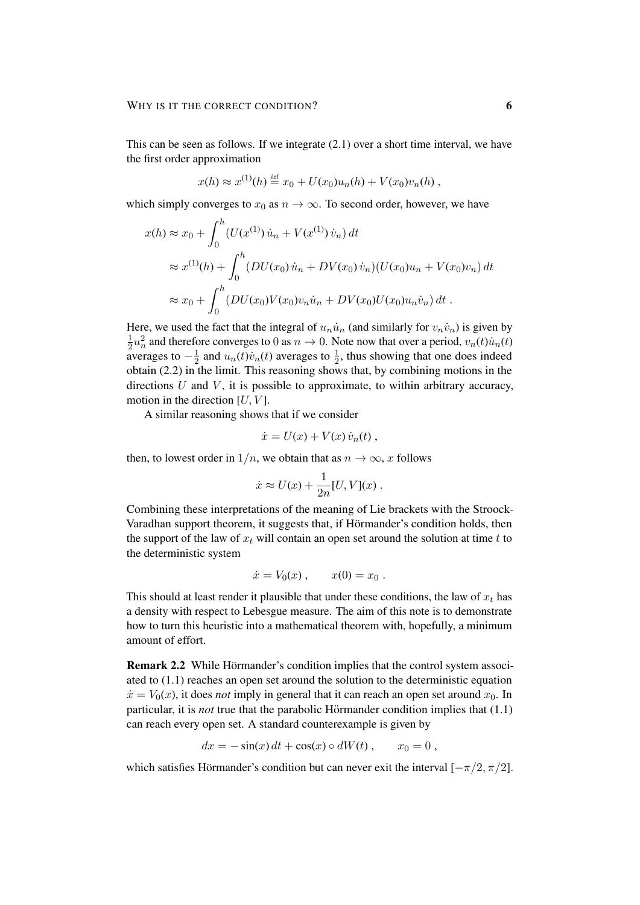This can be seen as follows. If we integrate (2.1) over a short time interval, we have the first order approximation

$$
x(h) \approx x^{(1)}(h) \stackrel{\text{def}}{=} x_0 + U(x_0)u_n(h) + V(x_0)v_n(h)
$$
,

which simply converges to  $x_0$  as  $n \to \infty$ . To second order, however, we have

$$
x(h) \approx x_0 + \int_0^h (U(x^{(1)}) \dot{u}_n + V(x^{(1)}) \dot{v}_n) dt
$$
  
\n
$$
\approx x^{(1)}(h) + \int_0^h (DU(x_0) \dot{u}_n + DV(x_0) \dot{v}_n) (U(x_0)u_n + V(x_0)v_n) dt
$$
  
\n
$$
\approx x_0 + \int_0^h (DU(x_0)V(x_0)v_n \dot{u}_n + DV(x_0)U(x_0)u_n \dot{v}_n) dt.
$$

Here, we used the fact that the integral of  $u_n\dot{u}_n$  (and similarly for  $v_n\dot{v}_n$ ) is given by 1  $\frac{1}{2}u_n^2$  and therefore converges to 0 as  $n \to 0$ . Note now that over a period,  $v_n(t)\dot{u}_n(t)$ averages to  $-\frac{1}{2}$  $\frac{1}{2}$  and  $u_n(t)\dot{v}_n(t)$  averages to  $\frac{1}{2}$ , thus showing that one does indeed obtain (2.2) in the limit. This reasoning shows that, by combining motions in the directions  $U$  and  $V$ , it is possible to approximate, to within arbitrary accuracy, motion in the direction  $[U, V]$ .

A similar reasoning shows that if we consider

$$
\dot{x} = U(x) + V(x) \dot{v}_n(t) ,
$$

then, to lowest order in  $1/n$ , we obtain that as  $n \to \infty$ , x follows

$$
\dot{x} \approx U(x) + \frac{1}{2n} [U, V](x) .
$$

Combining these interpretations of the meaning of Lie brackets with the Stroock-Varadhan support theorem, it suggests that, if Hörmander's condition holds, then the support of the law of  $x_t$  will contain an open set around the solution at time t to the deterministic system

$$
\dot{x} = V_0(x)
$$
,  $x(0) = x_0$ .

This should at least render it plausible that under these conditions, the law of  $x_t$  has a density with respect to Lebesgue measure. The aim of this note is to demonstrate how to turn this heuristic into a mathematical theorem with, hopefully, a minimum amount of effort.

**Remark 2.2** While Hörmander's condition implies that the control system associated to (1.1) reaches an open set around the solution to the deterministic equation  $\dot{x} = V_0(x)$ , it does *not* imply in general that it can reach an open set around  $x_0$ . In particular, it is *not* true that the parabolic Hörmander condition implies that  $(1.1)$ can reach every open set. A standard counterexample is given by

$$
dx = -\sin(x) dt + \cos(x) \circ dW(t) , \qquad x_0 = 0 ,
$$

which satisfies Hörmander's condition but can never exit the interval  $[-\pi/2, \pi/2]$ .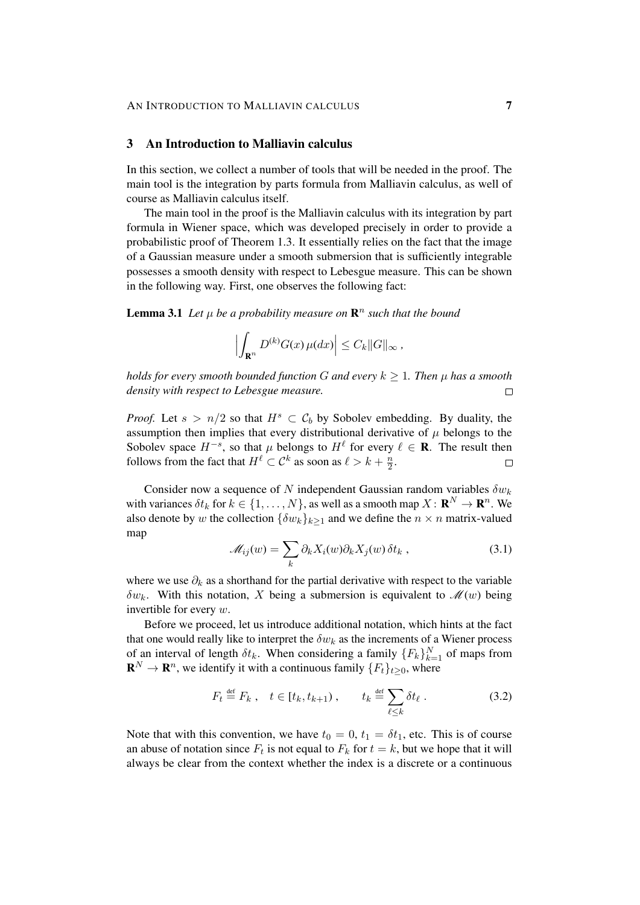#### 3 An Introduction to Malliavin calculus

In this section, we collect a number of tools that will be needed in the proof. The main tool is the integration by parts formula from Malliavin calculus, as well of course as Malliavin calculus itself.

The main tool in the proof is the Malliavin calculus with its integration by part formula in Wiener space, which was developed precisely in order to provide a probabilistic proof of Theorem 1.3. It essentially relies on the fact that the image of a Gaussian measure under a smooth submersion that is sufficiently integrable possesses a smooth density with respect to Lebesgue measure. This can be shown in the following way. First, one observes the following fact:

**Lemma 3.1** Let  $\mu$  be a probability measure on  $\mathbb{R}^n$  such that the bound

$$
\left| \int_{\mathbf{R}^n} D^{(k)} G(x) \,\mu(dx) \right| \leq C_k ||G||_{\infty} \,,
$$

*holds for every smooth bounded function* G and every  $k \geq 1$ . Then  $\mu$  has a smooth *density with respect to Lebesgue measure.*  $\Box$ 

*Proof.* Let  $s > n/2$  so that  $H^s \subset C_b$  by Sobolev embedding. By duality, the assumption then implies that every distributional derivative of  $\mu$  belongs to the Sobolev space  $H^{-s}$ , so that  $\mu$  belongs to  $H^{\ell}$  for every  $\ell \in \mathbf{R}$ . The result then follows from the fact that  $H^{\ell} \subset \mathcal{C}^k$  as soon as  $\ell > k + \frac{n}{2}$  $\frac{n}{2}$ .  $\Box$ 

Consider now a sequence of N independent Gaussian random variables  $\delta w_k$ with variances  $\delta t_k$  for  $k \in \{1, \ldots, N\}$ , as well as a smooth map  $X \colon \mathbf{R}^N \to \mathbf{R}^n$ . We also denote by w the collection  $\{\delta w_k\}_{k>1}$  and we define the  $n \times n$  matrix-valued map

$$
\mathcal{M}_{ij}(w) = \sum_{k} \partial_k X_i(w) \partial_k X_j(w) \, \delta t_k \,, \tag{3.1}
$$

where we use  $\partial_k$  as a shorthand for the partial derivative with respect to the variable  $\delta w_k$ . With this notation, X being a submersion is equivalent to  $\mathcal{M}(w)$  being invertible for every w.

Before we proceed, let us introduce additional notation, which hints at the fact that one would really like to interpret the  $\delta w_k$  as the increments of a Wiener process of an interval of length  $\delta t_k$ . When considering a family  $\{F_k\}_{k=1}^N$  of maps from  $\mathbf{R}^{N} \to \mathbf{R}^{n}$ , we identify it with a continuous family  $\{F_{t}\}_{t\geq0}$ , where

$$
F_t \stackrel{\text{def}}{=} F_k \,, \quad t \in [t_k, t_{k+1}) \,, \qquad t_k \stackrel{\text{def}}{=} \sum_{\ell \le k} \delta t_\ell \,. \tag{3.2}
$$

Note that with this convention, we have  $t_0 = 0$ ,  $t_1 = \delta t_1$ , etc. This is of course an abuse of notation since  $F_t$  is not equal to  $F_k$  for  $t = k$ , but we hope that it will always be clear from the context whether the index is a discrete or a continuous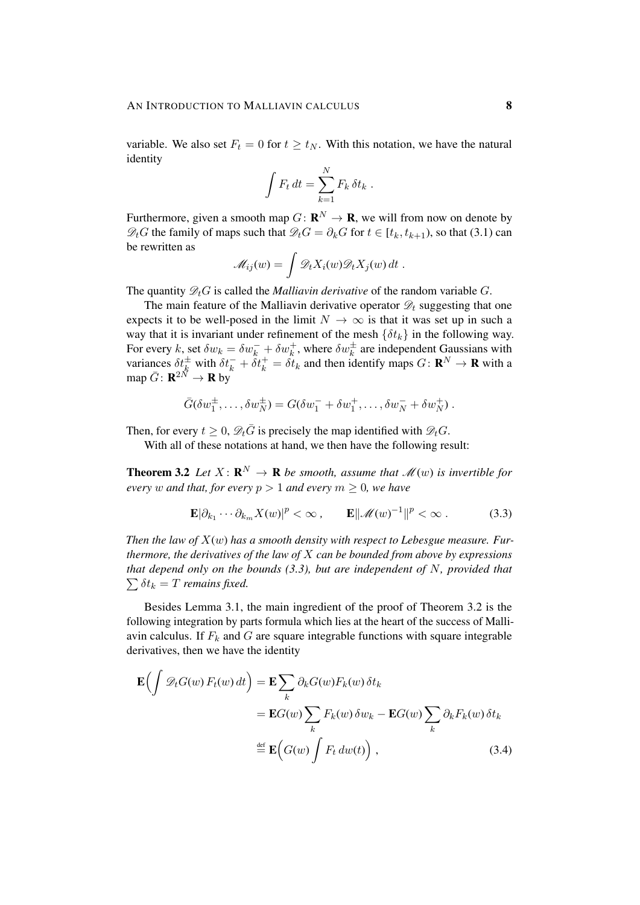variable. We also set  $F_t = 0$  for  $t \geq t_N$ . With this notation, we have the natural identity

$$
\int F_t dt = \sum_{k=1}^N F_k \,\delta t_k.
$$

Furthermore, given a smooth map  $G: \mathbf{R}^{N} \to \mathbf{R}$ , we will from now on denote by  $\mathcal{D}_tG$  the family of maps such that  $\mathcal{D}_tG = \partial_kG$  for  $t \in [t_k, t_{k+1})$ , so that (3.1) can be rewritten as

$$
\mathscr{M}_{ij}(w) = \int \mathscr{D}_t X_i(w) \mathscr{D}_t X_j(w) dt .
$$

The quantity  $\mathcal{D}_t G$  is called the *Malliavin derivative* of the random variable  $G$ .

The main feature of the Malliavin derivative operator  $\mathcal{D}_t$  suggesting that one expects it to be well-posed in the limit  $N \to \infty$  is that it was set up in such a way that it is invariant under refinement of the mesh  $\{\delta t_k\}$  in the following way. For every k, set  $\delta w_k = \delta w_k^- + \delta w_k^+$ , where  $\delta w_k^{\pm}$  are independent Gaussians with variances  $\delta t_k^{\pm}$  with  $\delta t_k^- + \delta t_k^+ = \delta t_k$  and then identify maps  $G \colon \mathbf{R}^N \to \mathbf{R}$  with a map  $\bar{G} \colon \mathbf{R}^{2N} \to \mathbf{R}$  by

$$
\bar{G}(\delta w_1^{\pm},\ldots,\delta w_N^{\pm})=G(\delta w_1^-+\delta w_1^+,\ldots,\delta w_N^-+\delta w_N^+).
$$

Then, for every  $t > 0$ ,  $\mathscr{D}_t \overline{G}$  is precisely the map identified with  $\mathscr{D}_t G$ .

With all of these notations at hand, we then have the following result:

**Theorem 3.2** Let  $X: \mathbf{R}^N \to \mathbf{R}$  be smooth, assume that  $\mathcal{M}(w)$  is invertible for *every w and that, for every*  $p > 1$  *and every*  $m > 0$ *, we have* 

$$
\mathbf{E}|\partial_{k_1}\cdots\partial_{k_m}X(w)|^p<\infty\,,\qquad \mathbf{E}\|\mathscr{M}(w)^{-1}\|^p<\infty\,.\tag{3.3}
$$

*Then the law of* X(w) *has a smooth density with respect to Lebesgue measure. Furthermore, the derivatives of the law of* X *can be bounded from above by expressions that depend only on the bounds (3.3), but are independent of* N*, provided that*  $\sum \delta t_k = T$  *remains fixed.* 

Besides Lemma 3.1, the main ingredient of the proof of Theorem 3.2 is the following integration by parts formula which lies at the heart of the success of Malliavin calculus. If  $F_k$  and G are square integrable functions with square integrable derivatives, then we have the identity

$$
\mathbf{E}\Big(\int \mathcal{D}_t G(w) F_t(w) dt\Big) = \mathbf{E} \sum_k \partial_k G(w) F_k(w) \delta t_k
$$
  
=  $\mathbf{E} G(w) \sum_k F_k(w) \delta w_k - \mathbf{E} G(w) \sum_k \partial_k F_k(w) \delta t_k$   

$$
\stackrel{\text{def}}{=} \mathbf{E} \Big(G(w) \int F_t dw(t)\Big), \tag{3.4}
$$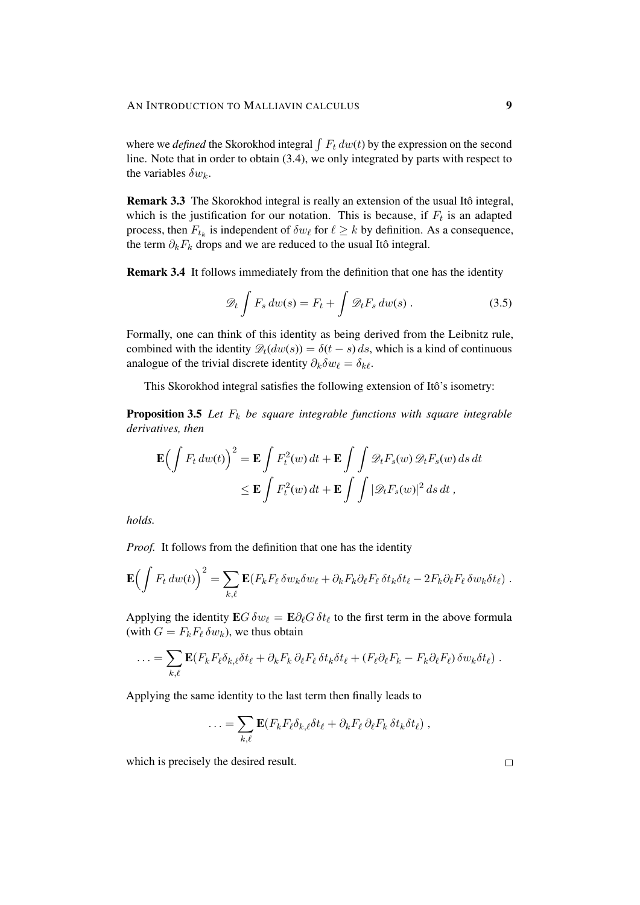where we *defined* the Skorokhod integral  $\int F_t dw(t)$  by the expression on the second line. Note that in order to obtain (3.4), we only integrated by parts with respect to the variables  $\delta w_k$ .

Remark 3.3 The Skorokhod integral is really an extension of the usual Itô integral, which is the justification for our notation. This is because, if  $F_t$  is an adapted process, then  $F_{t_k}$  is independent of  $\delta w_\ell$  for  $\ell \geq k$  by definition. As a consequence, the term  $\partial_k F_k$  drops and we are reduced to the usual Itô integral.

Remark 3.4 It follows immediately from the definition that one has the identity

$$
\mathscr{D}_t \int F_s \, dw(s) = F_t + \int \mathscr{D}_t F_s \, dw(s) \,. \tag{3.5}
$$

Formally, one can think of this identity as being derived from the Leibnitz rule, combined with the identity  $\mathcal{D}_t(dw(s)) = \delta(t - s) ds$ , which is a kind of continuous analogue of the trivial discrete identity  $\partial_k \delta w_\ell = \delta_{k\ell}$ .

This Skorokhod integral satisfies the following extension of Itô's isometry:

Proposition 3.5 *Let* F<sup>k</sup> *be square integrable functions with square integrable derivatives, then*

$$
\mathbf{E}\left(\int F_t dw(t)\right)^2 = \mathbf{E}\int F_t^2(w) dt + \mathbf{E}\int \int \mathcal{D}_t F_s(w) \mathcal{D}_t F_s(w) ds dt
$$
  

$$
\leq \mathbf{E}\int F_t^2(w) dt + \mathbf{E}\int \int |\mathcal{D}_t F_s(w)|^2 ds dt,
$$

*holds.*

*Proof.* It follows from the definition that one has the identity

$$
\mathbf{E}\Big(\int F_t dw(t)\Big)^2 = \sum_{k,\ell} \mathbf{E}(F_k F_\ell \,\delta w_k \delta w_\ell + \partial_k F_k \partial_\ell F_\ell \,\delta t_k \delta t_\ell - 2F_k \partial_\ell F_\ell \,\delta w_k \delta t_\ell).
$$

Applying the identity  $\mathbf{E}G \,\delta w_\ell = \mathbf{E} \partial_\ell G \,\delta t_\ell$  to the first term in the above formula (with  $G = F_k F_\ell \, \delta w_k$ ), we thus obtain

$$
\ldots = \sum_{k,\ell} \mathbf{E} (F_k F_\ell \delta_{k,\ell} \delta t_\ell + \partial_k F_k \partial_\ell F_\ell \delta t_k \delta t_\ell + (F_\ell \partial_\ell F_k - F_k \partial_\ell F_\ell) \delta w_k \delta t_\ell).
$$

Applying the same identity to the last term then finally leads to

$$
\ldots = \sum_{k,\ell} \mathbf{E}(F_k F_\ell \delta_{k,\ell} \delta t_\ell + \partial_k F_\ell \, \partial_\ell F_k \, \delta t_k \delta t_\ell) ,
$$

which is precisely the desired result.

 $\Box$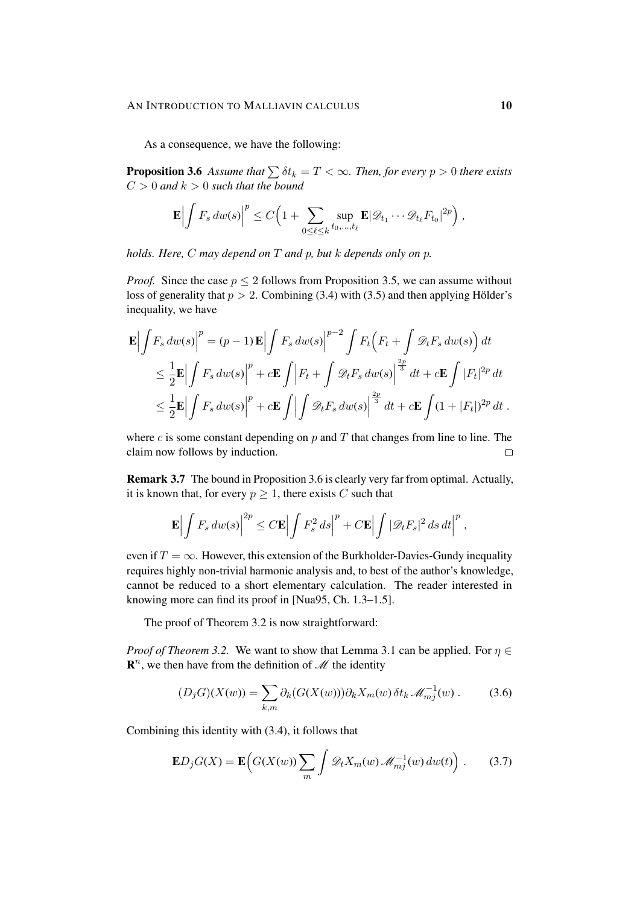As a consequence, we have the following:

**Proposition 3.6** *Assume that*  $\sum \delta t_k = T < \infty$ *. Then, for every*  $p > 0$  *there exists*  $C > 0$  and  $k > 0$  such that the bound

$$
\mathbf{E}\Big|\int F_s dw(s)\Big|^p \leq C\Big(1+\sum_{0\leq\ell\leq k} \sup_{t_0,\ldots,t_\ell} \mathbf{E}|\mathscr{D}_{t_1}\cdots\mathscr{D}_{t_\ell} F_{t_0}|^{2p}\Big)\,,
$$

*holds. Here,* C *may depend on* T *and* p*, but* k *depends only on* p*.*

*Proof.* Since the case  $p \le 2$  follows from Proposition 3.5, we can assume without loss of generality that  $p > 2$ . Combining (3.4) with (3.5) and then applying Hölder's inequality, we have

$$
\mathbf{E} \Big| \int F_s \, dw(s) \Big|^p = (p-1) \, \mathbf{E} \Big| \int F_s \, dw(s) \Big|^{p-2} \int F_t \Big( F_t + \int \mathcal{D}_t F_s \, dw(s) \Big) \, dt
$$
\n
$$
\leq \frac{1}{2} \mathbf{E} \Big| \int F_s \, dw(s) \Big|^p + c \mathbf{E} \int \Big| F_t + \int \mathcal{D}_t F_s \, dw(s) \Big|^{\frac{2p}{3}} \, dt + c \mathbf{E} \int |F_t|^{2p} \, dt
$$
\n
$$
\leq \frac{1}{2} \mathbf{E} \Big| \int F_s \, dw(s) \Big|^p + c \mathbf{E} \int \Big| \int \mathcal{D}_t F_s \, dw(s) \Big|^{\frac{2p}{3}} \, dt + c \mathbf{E} \int (1 + |F_t|)^{2p} \, dt \, .
$$

where c is some constant depending on  $p$  and  $T$  that changes from line to line. The claim now follows by induction.  $\Box$ 

Remark 3.7 The bound in Proposition 3.6 is clearly very far from optimal. Actually, it is known that, for every  $p \geq 1$ , there exists C such that

$$
\mathbf{E}\left|\int F_s dw(s)\right|^{2p} \leq C \mathbf{E}\left|\int F_s^2 ds\right|^p + C \mathbf{E}\left|\int |\mathscr{D}_t F_s|^2 ds dt\right|^p,
$$

even if  $T = \infty$ . However, this extension of the Burkholder-Davies-Gundy inequality requires highly non-trivial harmonic analysis and, to best of the author's knowledge, cannot be reduced to a short elementary calculation. The reader interested in knowing more can find its proof in [Nua95, Ch. 1.3–1.5].

The proof of Theorem 3.2 is now straightforward:

*Proof of Theorem 3.2.* We want to show that Lemma 3.1 can be applied. For  $\eta \in$  $\mathbb{R}^n$ , we then have from the definition of  $\mathcal M$  the identity

$$
(D_j G)(X(w)) = \sum_{k,m} \partial_k (G(X(w))) \partial_k X_m(w) \,\delta t_k \,\mathcal{M}_{mj}^{-1}(w) \,.
$$
 (3.6)

Combining this identity with (3.4), it follows that

$$
\mathbf{E}D_j G(X) = \mathbf{E}\Big(G(X(w))\sum_m \int \mathscr{D}_t X_m(w) \mathscr{M}_{mj}^{-1}(w) \, dw(t)\Big) \,. \tag{3.7}
$$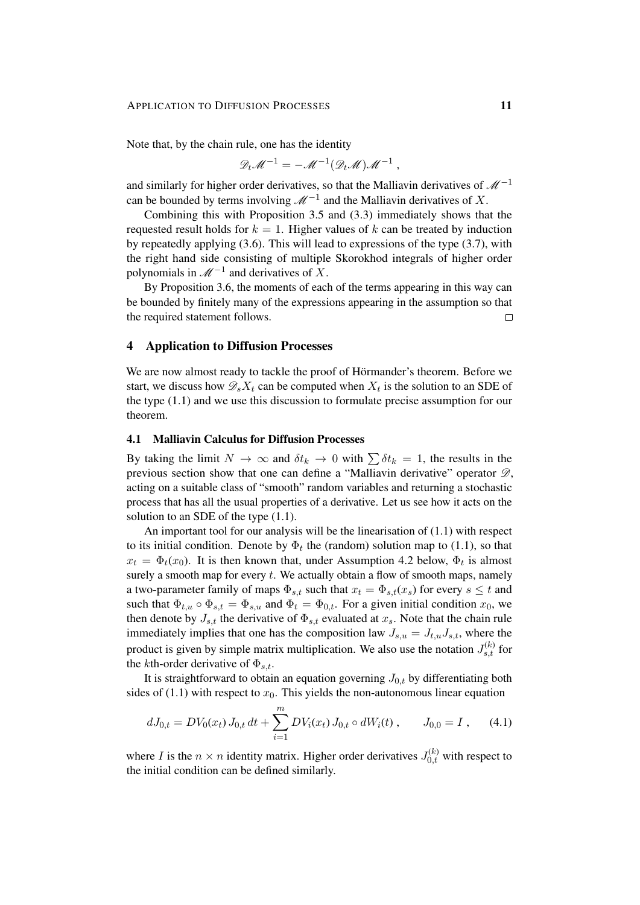#### APPLICATION TO DIFFUSION PROCESSES 11

Note that, by the chain rule, one has the identity

$$
\mathscr{D}_t \mathscr{M}^{-1} = -\mathscr{M}^{-1}(\mathscr{D}_t \mathscr{M}) \mathscr{M}^{-1} ,
$$

and similarly for higher order derivatives, so that the Malliavin derivatives of  $\mathcal{M}^{-1}$ can be bounded by terms involving  $\mathcal{M}^{-1}$  and the Malliavin derivatives of X.

Combining this with Proposition 3.5 and (3.3) immediately shows that the requested result holds for  $k = 1$ . Higher values of k can be treated by induction by repeatedly applying  $(3.6)$ . This will lead to expressions of the type  $(3.7)$ , with the right hand side consisting of multiple Skorokhod integrals of higher order polynomials in  $\mathcal{M}^{-1}$  and derivatives of X.

By Proposition 3.6, the moments of each of the terms appearing in this way can be bounded by finitely many of the expressions appearing in the assumption so that the required statement follows.  $\Box$ 

## 4 Application to Diffusion Processes

We are now almost ready to tackle the proof of Hörmander's theorem. Before we start, we discuss how  $\mathcal{D}_s X_t$  can be computed when  $X_t$  is the solution to an SDE of the type (1.1) and we use this discussion to formulate precise assumption for our theorem.

#### 4.1 Malliavin Calculus for Diffusion Processes

By taking the limit  $N \to \infty$  and  $\delta t_k \to 0$  with  $\sum \delta t_k = 1$ , the results in the previous section show that one can define a "Malliavin derivative" operator  $\mathscr{D}$ , acting on a suitable class of "smooth" random variables and returning a stochastic process that has all the usual properties of a derivative. Let us see how it acts on the solution to an SDE of the type  $(1.1)$ .

An important tool for our analysis will be the linearisation of (1.1) with respect to its initial condition. Denote by  $\Phi_t$  the (random) solution map to (1.1), so that  $x_t = \Phi_t(x_0)$ . It is then known that, under Assumption 4.2 below,  $\Phi_t$  is almost surely a smooth map for every  $t$ . We actually obtain a flow of smooth maps, namely a two-parameter family of maps  $\Phi_{s,t}$  such that  $x_t = \Phi_{s,t}(x_s)$  for every  $s \le t$  and such that  $\Phi_{t,u} \circ \Phi_{s,t} = \Phi_{s,u}$  and  $\Phi_t = \Phi_{0,t}$ . For a given initial condition  $x_0$ , we then denote by  $J_{s,t}$  the derivative of  $\Phi_{s,t}$  evaluated at  $x_s$ . Note that the chain rule immediately implies that one has the composition law  $J_{s,u} = J_{t,u} J_{s,t}$ , where the product is given by simple matrix multiplication. We also use the notation  $J_{s,t}^{(k)}$  for the kth-order derivative of  $\Phi_{s,t}$ .

It is straightforward to obtain an equation governing  $J_{0,t}$  by differentiating both sides of (1.1) with respect to  $x_0$ . This yields the non-autonomous linear equation

$$
dJ_{0,t} = DV_0(x_t) J_{0,t} dt + \sum_{i=1}^{m} DV_i(x_t) J_{0,t} \circ dW_i(t) , \qquad J_{0,0} = I , \qquad (4.1)
$$

where *I* is the  $n \times n$  identity matrix. Higher order derivatives  $J_{0,t}^{(k)}$  with respect to the initial condition can be defined similarly.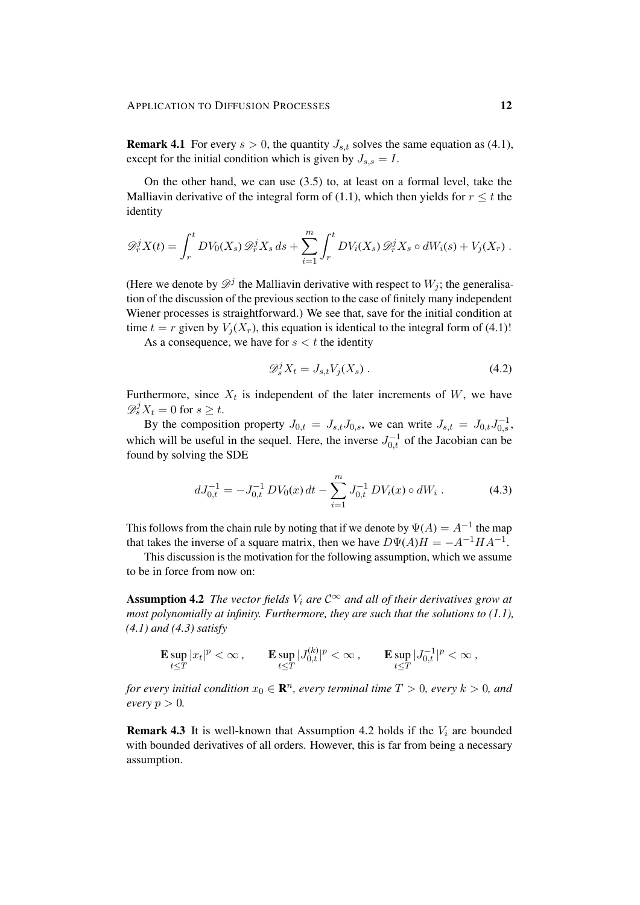**Remark 4.1** For every  $s > 0$ , the quantity  $J_{s,t}$  solves the same equation as (4.1), except for the initial condition which is given by  $J_{s,s} = I$ .

On the other hand, we can use (3.5) to, at least on a formal level, take the Malliavin derivative of the integral form of (1.1), which then yields for  $r \le t$  the identity

$$
\mathscr{D}_r^j X(t) = \int_r^t DV_0(X_s) \mathscr{D}_r^j X_s ds + \sum_{i=1}^m \int_r^t DV_i(X_s) \mathscr{D}_r^j X_s \circ dW_i(s) + V_j(X_r) .
$$

(Here we denote by  $\mathscr{D}^j$  the Malliavin derivative with respect to  $W_j$ ; the generalisation of the discussion of the previous section to the case of finitely many independent Wiener processes is straightforward.) We see that, save for the initial condition at time  $t = r$  given by  $V_i(X_r)$ , this equation is identical to the integral form of (4.1)!

As a consequence, we have for  $s < t$  the identity

$$
\mathscr{D}_s^j X_t = J_{s,t} V_j(X_s) \,. \tag{4.2}
$$

Furthermore, since  $X_t$  is independent of the later increments of W, we have  $\mathscr{D}_s^j X_t = 0$  for  $s \geq t$ .

By the composition property  $J_{0,t} = J_{s,t} J_{0,s}$ , we can write  $J_{s,t} = J_{0,t} J_{0,s}^{-1}$ , which will be useful in the sequel. Here, the inverse  $J_{0,t}^{-1}$  of the Jacobian can be found by solving the SDE

$$
dJ_{0,t}^{-1} = -J_{0,t}^{-1} DV_0(x) dt - \sum_{i=1}^{m} J_{0,t}^{-1} DV_i(x) \circ dW_i.
$$
 (4.3)

This follows from the chain rule by noting that if we denote by  $\Psi(A) = A^{-1}$  the map that takes the inverse of a square matrix, then we have  $D\Psi(A)H = -A^{-1}HA^{-1}$ .

This discussion is the motivation for the following assumption, which we assume to be in force from now on:

Assumption 4.2 *The vector fields*  $V_i$  *are*  $C^{\infty}$  *and all of their derivatives grow at most polynomially at infinity. Furthermore, they are such that the solutions to (1.1), (4.1) and (4.3) satisfy*

$$
\mathbf{E}\sup_{t\leq T}|x_t|^p<\infty\,,\qquad \mathbf{E}\sup_{t\leq T}|J_{0,t}^{(k)}|^p<\infty\,,\qquad \mathbf{E}\sup_{t\leq T}|J_{0,t}^{-1}|^p<\infty\,,
$$

*for every initial condition*  $x_0 \in \mathbb{R}^n$ *, every terminal time*  $T > 0$ *, every*  $k > 0$ *, and every*  $p > 0$ *.* 

**Remark 4.3** It is well-known that Assumption 4.2 holds if the  $V_i$  are bounded with bounded derivatives of all orders. However, this is far from being a necessary assumption.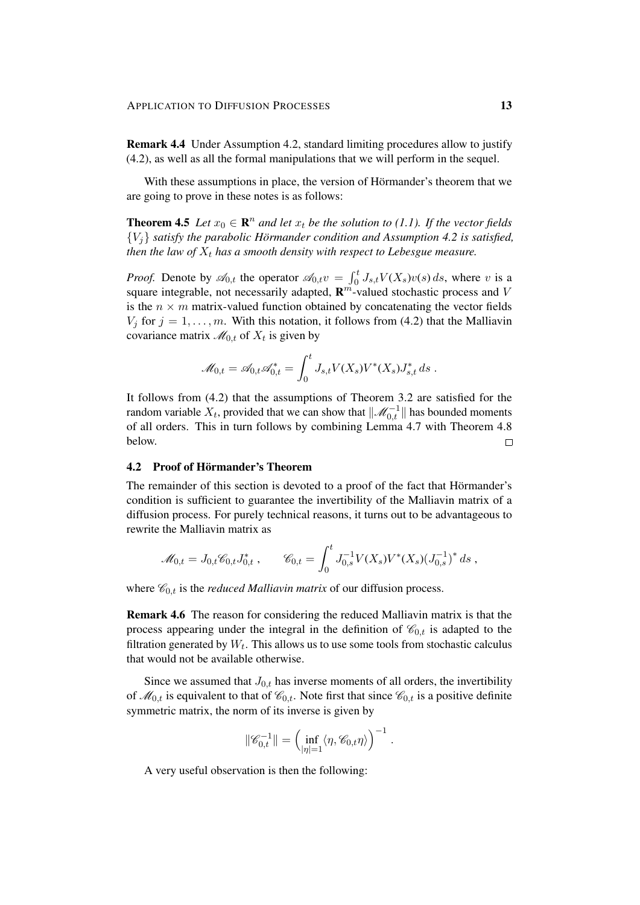Remark 4.4 Under Assumption 4.2, standard limiting procedures allow to justify (4.2), as well as all the formal manipulations that we will perform in the sequel.

With these assumptions in place, the version of Hörmander's theorem that we are going to prove in these notes is as follows:

**Theorem 4.5** Let  $x_0 \in \mathbb{R}^n$  and let  $x_t$  be the solution to (1.1). If the vector fields  ${V_i}$  *satisfy the parabolic Hörmander condition and Assumption 4.2 is satisfied, then the law of*  $X_t$  *has a smooth density with respect to Lebesgue measure.* 

*Proof.* Denote by  $\mathcal{A}_{0,t}$  the operator  $\mathcal{A}_{0,t}v = \int_0^t J_{s,t}V(X_s)v(s) ds$ , where v is a square integrable, not necessarily adapted,  $\mathbb{R}^m$ -valued stochastic process and V is the  $n \times m$  matrix-valued function obtained by concatenating the vector fields  $V_i$  for  $j = 1, \ldots, m$ . With this notation, it follows from (4.2) that the Malliavin covariance matrix  $\mathcal{M}_{0,t}$  of  $X_t$  is given by

$$
\mathcal{M}_{0,t} = \mathcal{A}_{0,t} \mathcal{A}_{0,t}^* = \int_0^t J_{s,t} V(X_s) V^*(X_s) J_{s,t}^* ds.
$$

It follows from (4.2) that the assumptions of Theorem 3.2 are satisfied for the random variable  $X_t$ , provided that we can show that  $\|\mathscr{M}_{0,t}^{-1}\|$  has bounded moments of all orders. This in turn follows by combining Lemma 4.7 with Theorem 4.8 below.  $\Box$ 

#### 4.2 Proof of Hörmander's Theorem

The remainder of this section is devoted to a proof of the fact that Hörmander's condition is sufficient to guarantee the invertibility of the Malliavin matrix of a diffusion process. For purely technical reasons, it turns out to be advantageous to rewrite the Malliavin matrix as

$$
\mathscr{M}_{0,t} = J_{0,t} \mathscr{C}_{0,t} J_{0,t}^*, \qquad \mathscr{C}_{0,t} = \int_0^t J_{0,s}^{-1} V(X_s) V^*(X_s) (J_{0,s}^{-1})^* ds ,
$$

where  $\mathcal{C}_{0,t}$  is the *reduced Malliavin matrix* of our diffusion process.

Remark 4.6 The reason for considering the reduced Malliavin matrix is that the process appearing under the integral in the definition of  $\mathcal{C}_{0,t}$  is adapted to the filtration generated by  $W_t$ . This allows us to use some tools from stochastic calculus that would not be available otherwise.

Since we assumed that  $J_{0,t}$  has inverse moments of all orders, the invertibility of  $\mathcal{M}_{0,t}$  is equivalent to that of  $\mathcal{C}_{0,t}$ . Note first that since  $\mathcal{C}_{0,t}$  is a positive definite symmetric matrix, the norm of its inverse is given by

$$
\|\mathscr{C}_{0,t}^{-1}\| = \left(\inf_{|\eta|=1} \langle \eta, \mathscr{C}_{0,t} \eta \rangle\right)^{-1}.
$$

A very useful observation is then the following: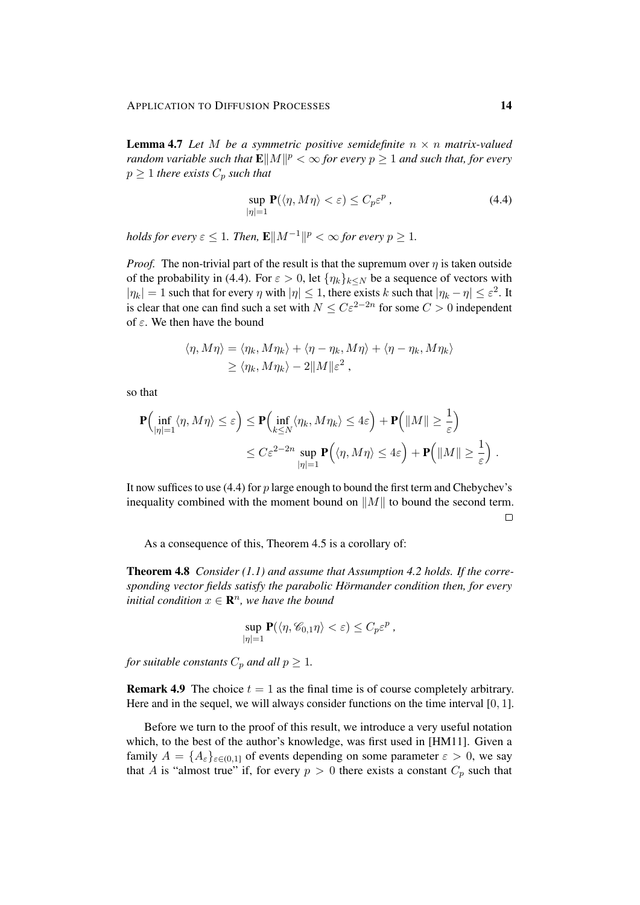Lemma 4.7 *Let* M *be a symmetric positive semidefinite* n × n *matrix-valued random variable such that*  $\mathbf{E}||M||^p < \infty$  for every  $p \geq 1$  and such that, for every  $p \geq 1$  *there exists*  $C_p$  *such that* 

$$
\sup_{|\eta|=1} \mathbf{P}(\langle \eta, M\eta \rangle < \varepsilon) \le C_p \varepsilon^p \,, \tag{4.4}
$$

*holds for every*  $\varepsilon \leq 1$ *. Then,*  $\mathbf{E} \| M^{-1} \|^{p} < \infty$  for every  $p \geq 1$ *.* 

*Proof.* The non-trivial part of the result is that the supremum over  $\eta$  is taken outside of the probability in (4.4). For  $\varepsilon > 0$ , let  $\{\eta_k\}_{k \leq N}$  be a sequence of vectors with  $|\eta_k| = 1$  such that for every  $\eta$  with  $|\eta| \leq 1$ , there exists k such that  $|\eta_k - \eta| \leq \varepsilon^2$ . It is clear that one can find such a set with  $N \leq C \varepsilon^{2-2n}$  for some  $C > 0$  independent of  $\varepsilon$ . We then have the bound

$$
\langle \eta, M\eta \rangle = \langle \eta_k, M\eta_k \rangle + \langle \eta - \eta_k, M\eta \rangle + \langle \eta - \eta_k, M\eta_k \rangle
$$
  

$$
\geq \langle \eta_k, M\eta_k \rangle - 2\|M\| \varepsilon^2,
$$

so that

$$
\mathbf{P}\Big(\inf_{|\eta|=1} \langle \eta, M\eta \rangle \le \varepsilon\Big) \le \mathbf{P}\Big(\inf_{k \le N} \langle \eta_k, M\eta_k \rangle \le 4\varepsilon\Big) + \mathbf{P}\Big(\|M\| \ge \frac{1}{\varepsilon}\Big) \le C\varepsilon^{2-2n} \sup_{|\eta|=1} \mathbf{P}\Big(\langle \eta, M\eta \rangle \le 4\varepsilon\Big) + \mathbf{P}\Big(\|M\| \ge \frac{1}{\varepsilon}\Big) .
$$

It now suffices to use  $(4.4)$  for  $p$  large enough to bound the first term and Chebychev's inequality combined with the moment bound on  $||M||$  to bound the second term.  $\Box$ 

As a consequence of this, Theorem 4.5 is a corollary of:

Theorem 4.8 *Consider (1.1) and assume that Assumption 4.2 holds. If the corresponding vector fields satisfy the parabolic Hörmander condition then, for every initial condition*  $x \in \mathbf{R}^n$ , we have the bound

$$
\sup_{|\eta|=1} \mathbf{P}(\langle \eta, \mathscr{C}_{0,1} \eta \rangle < \varepsilon) \leq C_p \varepsilon^p,
$$

*for suitable constants*  $C_p$  *and all*  $p \geq 1$ *.* 

**Remark 4.9** The choice  $t = 1$  as the final time is of course completely arbitrary. Here and in the sequel, we will always consider functions on the time interval [0, 1].

Before we turn to the proof of this result, we introduce a very useful notation which, to the best of the author's knowledge, was first used in [HM11]. Given a family  $A = \{A_{\varepsilon}\}_{{\varepsilon} \in (0,1]}$  of events depending on some parameter  ${\varepsilon} > 0$ , we say that A is "almost true" if, for every  $p > 0$  there exists a constant  $C_p$  such that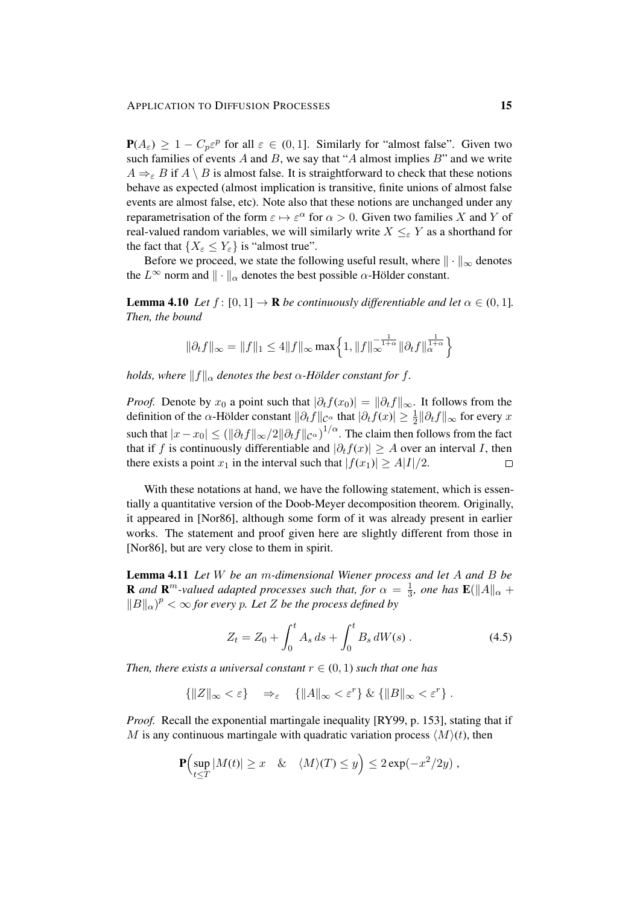$P(A_{\varepsilon}) \geq 1 - C_p \varepsilon^p$  for all  $\varepsilon \in (0, 1]$ . Similarly for "almost false". Given two such families of events  $A$  and  $B$ , we say that "A almost implies  $B$ " and we write  $A \Rightarrow_{\varepsilon} B$  if  $A \setminus B$  is almost false. It is straightforward to check that these notions behave as expected (almost implication is transitive, finite unions of almost false events are almost false, etc). Note also that these notions are unchanged under any reparametrisation of the form  $\varepsilon \mapsto \varepsilon^{\alpha}$  for  $\alpha > 0$ . Given two families X and Y of real-valued random variables, we will similarly write  $X \leq_{\varepsilon} Y$  as a shorthand for the fact that  $\{X_{\varepsilon} \leq Y_{\varepsilon}\}\$ is "almost true".

Before we proceed, we state the following useful result, where  $\|\cdot\|_{\infty}$  denotes the  $L^{\infty}$  norm and  $\|\cdot\|_{\alpha}$  denotes the best possible  $\alpha$ -Hölder constant.

**Lemma 4.10** *Let*  $f : [0, 1] \rightarrow \mathbb{R}$  *be continuously differentiable and let*  $\alpha \in (0, 1]$ *. Then, the bound*

$$
\|\partial_t f\|_{\infty} = \|f\|_1 \le 4 \|f\|_{\infty} \max\left\{1, \|f\|_{\infty}^{-\frac{1}{1+\alpha}} \|\partial_t f\|_{\alpha}^{\frac{1}{1+\alpha}}\right\}
$$

*holds, where*  $||f||_{\alpha}$  *denotes the best*  $\alpha$ *-Hölder constant for f.* 

*Proof.* Denote by  $x_0$  a point such that  $|\partial_t f(x_0)| = ||\partial_t f||_{\infty}$ . It follows from the definition of the  $\alpha$ -Hölder constant  $\|\partial_t f\|_{\mathcal{C}^\alpha}$  that  $|\partial_t f(x)| \geq \frac{1}{2} \|\partial_t f\|_{\infty}$  for every x such that  $|x-x_0| \le (\|\partial_t f\|_{\infty}/2\|\partial_t f\|_{\mathcal{C}^{\alpha}})^{1/\alpha}$ . The claim then follows from the fact that if f is continuously differentiable and  $|\partial_t f(x)| \geq A$  over an interval I, then there exists a point  $x_1$  in the interval such that  $|f(x_1)| \ge A|I|/2$ .  $\Box$ 

With these notations at hand, we have the following statement, which is essentially a quantitative version of the Doob-Meyer decomposition theorem. Originally, it appeared in [Nor86], although some form of it was already present in earlier works. The statement and proof given here are slightly different from those in [Nor86], but are very close to them in spirit.

Lemma 4.11 *Let* W *be an* m*-dimensional Wiener process and let* A *and* B *be* **R** and **R**<sup>*m*</sup>-valued adapted processes such that, for  $\alpha = \frac{1}{3}$  $\frac{1}{3}$ , one has  $\mathbf{E}(\Vert A \Vert_{\alpha} +$  $||B||_{\alpha}$ <sup>*p*</sup> <  $\infty$  *for every p. Let Z be the process defined by* 

$$
Z_t = Z_0 + \int_0^t A_s \, ds + \int_0^t B_s \, dW(s) \,. \tag{4.5}
$$

*Then, there exists a universal constant*  $r \in (0, 1)$  *such that one has* 

$$
\{\|Z\|_\infty<\varepsilon\}\quad\Rightarrow_\varepsilon\quad\{\|A\|_\infty<\varepsilon^r\}\ \&\ \{\|B\|_\infty<\varepsilon^r\}\ .
$$

*Proof.* Recall the exponential martingale inequality [RY99, p. 153], stating that if M is any continuous martingale with quadratic variation process  $\langle M \rangle(t)$ , then

$$
\mathbf{P}\Bigl(\sup_{t\leq T}|M(t)|\geq x\quad &\& \quad \langle M\rangle(T)\leq y\Bigr)\leq 2\exp(-x^2/2y)\;,
$$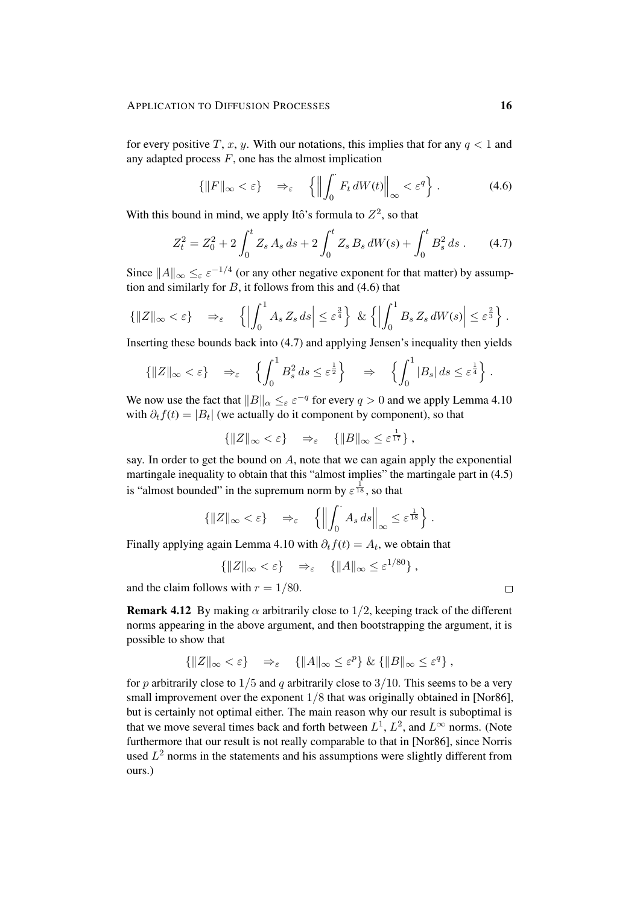for every positive T, x, y. With our notations, this implies that for any  $q < 1$  and any adapted process  $F$ , one has the almost implication

$$
\left\{ \|F\|_{\infty} < \varepsilon \right\} \quad \Rightarrow_{\varepsilon} \quad \left\{ \left\| \int_0^{\cdot} F_t \, dW(t) \right\|_{\infty} < \varepsilon^q \right\} \,. \tag{4.6}
$$

With this bound in mind, we apply Itô's formula to  $Z^2$ , so that

$$
Z_t^2 = Z_0^2 + 2 \int_0^t Z_s \, A_s \, ds + 2 \int_0^t Z_s \, B_s \, dW(s) + \int_0^t B_s^2 \, ds \,. \tag{4.7}
$$

Since  $||A||_{\infty} \leq_{\varepsilon} \varepsilon^{-1/4}$  (or any other negative exponent for that matter) by assumption and similarly for  $B$ , it follows from this and (4.6) that

$$
\left\{ \|Z\|_{\infty} < \varepsilon \right\} \quad \Rightarrow_{\varepsilon} \quad \left\{ \left| \int_0^1 A_s \, Z_s \, ds \right| \leq \varepsilon^{\frac{3}{4}} \right\} \, \, \& \left\{ \left| \int_0^1 B_s \, Z_s \, dW(s) \right| \leq \varepsilon^{\frac{2}{3}} \right\} \, .
$$

Inserting these bounds back into (4.7) and applying Jensen's inequality then yields

$$
\{|Z\|_{\infty} < \varepsilon\} \Rightarrow_{\varepsilon} \left\{ \int_0^1 B_s^2 ds \leq \varepsilon^{\frac{1}{2}} \right\} \Rightarrow \left\{ \int_0^1 |B_s| ds \leq \varepsilon^{\frac{1}{4}} \right\}.
$$

We now use the fact that  $||B||_{\alpha} \leq_{\varepsilon} \varepsilon^{-q}$  for every  $q > 0$  and we apply Lemma 4.10 with  $\partial_t f(t) = |B_t|$  (we actually do it component by component), so that

$$
\left\{ \|Z\|_{\infty} < \varepsilon \right\} \quad \Rightarrow_{\varepsilon} \quad \left\{ \|B\|_{\infty} \leq \varepsilon^{\frac{1}{17}} \right\},\
$$

say. In order to get the bound on A, note that we can again apply the exponential martingale inequality to obtain that this "almost implies" the martingale part in  $(4.5)$ is "almost bounded" in the supremum norm by  $\varepsilon^{\frac{1}{18}}$ , so that

$$
\left\{ \|Z\|_{\infty} < \varepsilon \right\} \quad \Rightarrow_{\varepsilon} \quad \left\{ \left\| \int_0^{\cdot} A_s \, ds \right\|_{\infty} \leq \varepsilon^{\frac{1}{18}} \right\}.
$$

Finally applying again Lemma 4.10 with  $\partial_t f(t) = A_t$ , we obtain that

$$
\{||Z||_{\infty} < \varepsilon\} \quad \Rightarrow_{\varepsilon} \quad \{||A||_{\infty} \leq \varepsilon^{1/80}\},
$$

and the claim follows with  $r = 1/80$ .

**Remark 4.12** By making  $\alpha$  arbitrarily close to 1/2, keeping track of the different norms appearing in the above argument, and then bootstrapping the argument, it is possible to show that

$$
\{\|Z\|_{\infty} < \varepsilon\} \quad \Rightarrow_{\varepsilon} \quad \{\|A\|_{\infty} \leq \varepsilon^p\} \& \{\|B\|_{\infty} \leq \varepsilon^q\},\
$$

for p arbitrarily close to  $1/5$  and q arbitrarily close to  $3/10$ . This seems to be a very small improvement over the exponent  $1/8$  that was originally obtained in [Nor86], but is certainly not optimal either. The main reason why our result is suboptimal is that we move several times back and forth between  $L^1$ ,  $L^2$ , and  $L^{\infty}$  norms. (Note furthermore that our result is not really comparable to that in [Nor86], since Norris used  $L^2$  norms in the statements and his assumptions were slightly different from ours.)

 $\Box$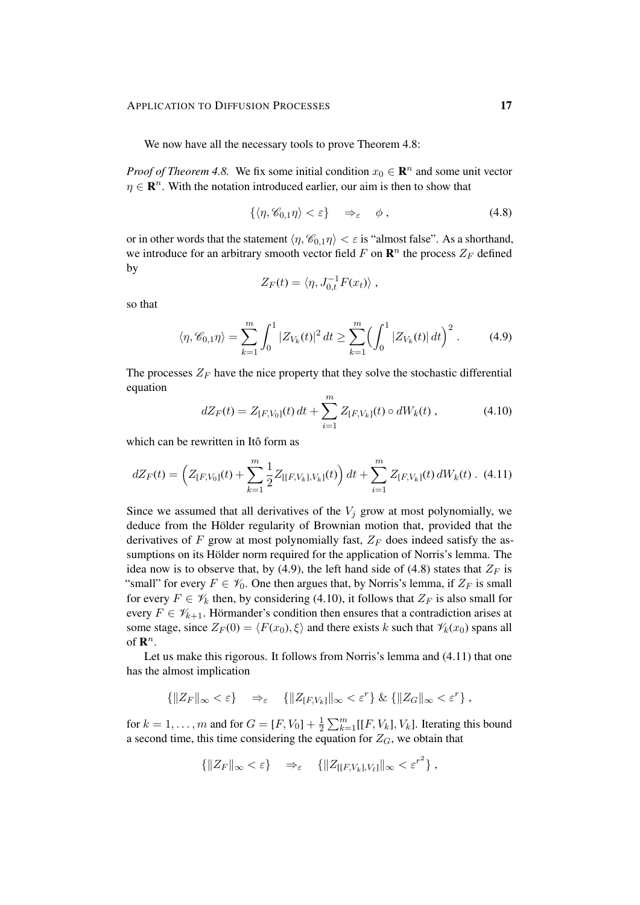We now have all the necessary tools to prove Theorem 4.8:

*Proof of Theorem 4.8.* We fix some initial condition  $x_0 \in \mathbb{R}^n$  and some unit vector  $\eta \in \mathbb{R}^n$ . With the notation introduced earlier, our aim is then to show that

$$
\{\langle \eta, \mathscr{C}_{0,1}\eta \rangle < \varepsilon\} \quad \Rightarrow_{\varepsilon} \quad \phi \,, \tag{4.8}
$$

or in other words that the statement  $\langle \eta, \mathcal{C}_{0,1} \eta \rangle < \varepsilon$  is "almost false". As a shorthand, we introduce for an arbitrary smooth vector field F on  $\mathbb{R}^n$  the process  $Z_F$  defined by

$$
Z_F(t) = \langle \eta, J_{0,t}^{-1} F(x_t) \rangle ,
$$

so that

$$
\langle \eta, \mathcal{C}_{0,1} \eta \rangle = \sum_{k=1}^{m} \int_0^1 |Z_{V_k}(t)|^2 dt \ge \sum_{k=1}^{m} \left( \int_0^1 |Z_{V_k}(t)| dt \right)^2.
$$
 (4.9)

The processes  $Z_F$  have the nice property that they solve the stochastic differential equation

$$
dZ_F(t) = Z_{[F,V_0]}(t) dt + \sum_{i=1}^{m} Z_{[F,V_k]}(t) \circ dW_k(t) , \qquad (4.10)
$$

which can be rewritten in Itô form as

$$
dZ_F(t) = \left(Z_{[F,V_0]}(t) + \sum_{k=1}^m \frac{1}{2} Z_{[[F,V_k],V_k]}(t) \right) dt + \sum_{i=1}^m Z_{[F,V_k]}(t) dW_k(t) .
$$
 (4.11)

Since we assumed that all derivatives of the  $V_i$  grow at most polynomially, we deduce from the Hölder regularity of Brownian motion that, provided that the derivatives of  $F$  grow at most polynomially fast,  $Z_F$  does indeed satisfy the assumptions on its Hölder norm required for the application of Norris's lemma. The idea now is to observe that, by (4.9), the left hand side of (4.8) states that  $Z_F$  is "small" for every  $F \in \mathcal{V}_0$ . One then argues that, by Norris's lemma, if  $Z_F$  is small for every  $F \in \mathcal{V}_k$  then, by considering (4.10), it follows that  $Z_F$  is also small for every  $F \in \mathscr{V}_{k+1}$ . Hörmander's condition then ensures that a contradiction arises at some stage, since  $Z_F(0) = \langle F(x_0), \xi \rangle$  and there exists k such that  $\mathcal{V}_k(x_0)$  spans all of  $\mathbf{R}^n$ .

Let us make this rigorous. It follows from Norris's lemma and (4.11) that one has the almost implication

$$
\left\{ \|Z_F\|_{\infty} < \varepsilon \right\} \quad \Rightarrow_{\varepsilon} \quad \left\{ \|Z_{[F,V_k]}\|_{\infty} < \varepsilon^r \right\} \& \left\{ \|Z_G\|_{\infty} < \varepsilon^r \right\},
$$

for  $k = 1, ..., m$  and for  $G = [F, V_0] + \frac{1}{2}$  $\frac{1}{2} \sum_{k=1}^{m} [[F, V_k], V_k]$ . Iterating this bound a second time, this time considering the equation for  $Z_G$ , we obtain that

$$
\left\{ \|Z_F\|_{\infty} < \varepsilon \right\} \quad \Rightarrow_{\varepsilon} \quad \left\{ \|Z_{[[F,V_k],V_\ell]}\|_{\infty} < \varepsilon^{r^2} \right\},
$$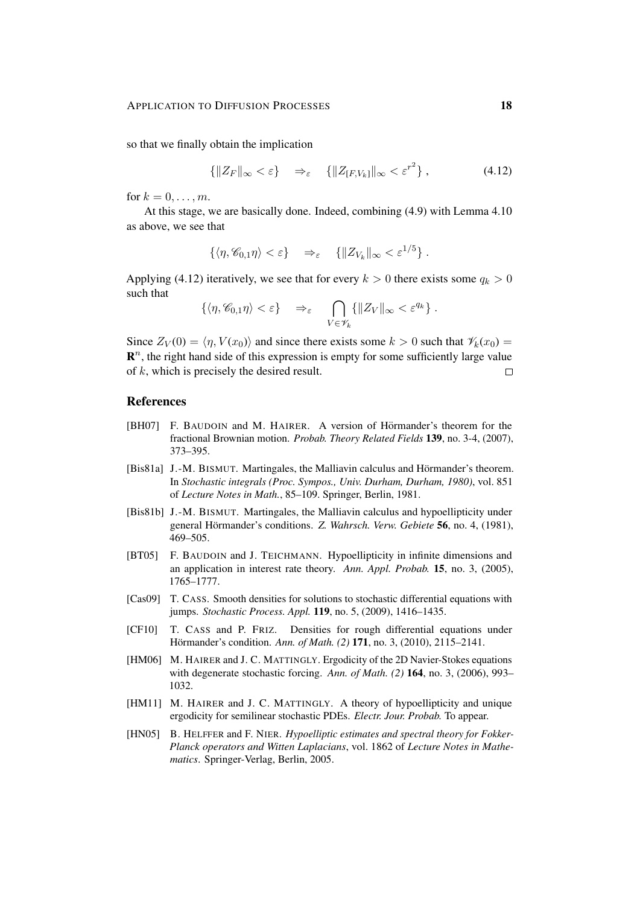so that we finally obtain the implication

$$
\left\{ \|Z_F\|_{\infty} < \varepsilon \right\} \quad \Rightarrow_{\varepsilon} \quad \left\{ \|Z_{[F,V_k]}\|_{\infty} < \varepsilon^{r^2} \right\},\tag{4.12}
$$

for  $k = 0, \ldots, m$ .

At this stage, we are basically done. Indeed, combining (4.9) with Lemma 4.10 as above, we see that

$$
\{\langle \eta, \mathscr{C}_{0,1} \eta \rangle < \varepsilon\} \quad \Rightarrow_{\varepsilon} \quad \{\|Z_{V_k}\|_{\infty} < \varepsilon^{1/5}\}.
$$

Applying (4.12) iteratively, we see that for every  $k > 0$  there exists some  $q_k > 0$ such that

$$
\{\langle \eta, \mathscr{C}_{0,1}\eta \rangle < \varepsilon\} \quad \Rightarrow_{\varepsilon} \quad \bigcap_{V \in \mathscr{V}_k} \{\|Z_V\|_{\infty} < \varepsilon^{q_k}\}.
$$

Since  $Z_V(0) = \langle \eta, V(x_0) \rangle$  and since there exists some  $k > 0$  such that  $\mathcal{V}_k(x_0) =$  $\mathbb{R}^n$ , the right hand side of this expression is empty for some sufficiently large value of k, which is precisely the desired result.  $\Box$ 

#### **References**

- [BH07] F. BAUDOIN and M. HAIRER. A version of Hörmander's theorem for the fractional Brownian motion. *Probab. Theory Related Fields* 139, no. 3-4, (2007), 373–395.
- [Bis81a] J.-M. BISMUT. Martingales, the Malliavin calculus and Hörmander's theorem. In *Stochastic integrals (Proc. Sympos., Univ. Durham, Durham, 1980)*, vol. 851 of *Lecture Notes in Math.*, 85–109. Springer, Berlin, 1981.
- [Bis81b] J.-M. BISMUT. Martingales, the Malliavin calculus and hypoellipticity under general Hörmander's conditions. Z. Wahrsch. Verw. Gebiete **56**, no. 4, (1981), 469–505.
- [BT05] F. BAUDOIN and J. TEICHMANN. Hypoellipticity in infinite dimensions and an application in interest rate theory. *Ann. Appl. Probab.* 15, no. 3, (2005), 1765–1777.
- [Cas09] T. CASS. Smooth densities for solutions to stochastic differential equations with jumps. *Stochastic Process. Appl.* 119, no. 5, (2009), 1416–1435.
- [CF10] T. CASS and P. FRIZ. Densities for rough differential equations under Hörmander's condition. *Ann. of Math.* (2) **171**, no. 3, (2010), 2115–2141.
- [HM06] M. HAIRER and J. C. MATTINGLY. Ergodicity of the 2D Navier-Stokes equations with degenerate stochastic forcing. *Ann. of Math. (2)* 164, no. 3, (2006), 993– 1032.
- [HM11] M. HAIRER and J. C. MATTINGLY. A theory of hypoellipticity and unique ergodicity for semilinear stochastic PDEs. *Electr. Jour. Probab.* To appear.
- [HN05] B. HELFFER and F. NIER. *Hypoelliptic estimates and spectral theory for Fokker-Planck operators and Witten Laplacians*, vol. 1862 of *Lecture Notes in Mathematics*. Springer-Verlag, Berlin, 2005.